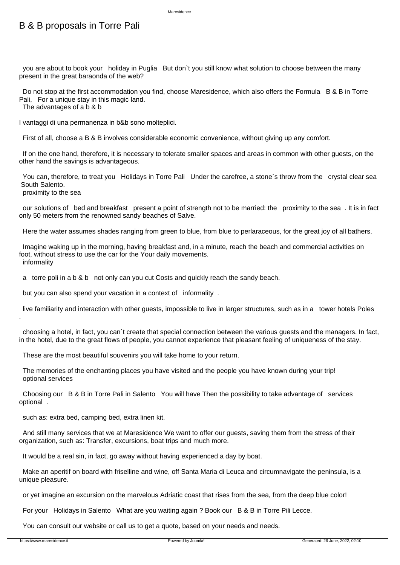## B & B proposals in Torre Pali

 you are about to book your holiday in Puglia But don`t you still know what solution to choose between the many present in the great baraonda of the web?

Maresidence

Do not stop at the first accommodation you find, choose Maresidence, which also offers the Formula B & B in Torre Pali, For a unique stay in this magic land.

The advantages of a b & b

I vantaggi di una permanenza in b&b sono molteplici.

First of all, choose a B & B involves considerable economic convenience, without giving up any comfort.

 If on the one hand, therefore, it is necessary to tolerate smaller spaces and areas in common with other guests, on the other hand the savings is advantageous.

 You can, therefore, to treat you Holidays in Torre Pali Under the carefree, a stone`s throw from the crystal clear sea South Salento.

proximity to the sea

 our solutions of bed and breakfast present a point of strength not to be married: the proximity to the sea . It is in fact only 50 meters from the renowned sandy beaches of Salve.

Here the water assumes shades ranging from green to blue, from blue to perlaraceous, for the great joy of all bathers.

 Imagine waking up in the morning, having breakfast and, in a minute, reach the beach and commercial activities on foot, without stress to use the car for the Your daily movements. informality

a torre poli in a b & b not only can you cut Costs and quickly reach the sandy beach.

but you can also spend your vacation in a context of informality .

 live familiarity and interaction with other guests, impossible to live in larger structures, such as in a tower hotels Poles .

 choosing a hotel, in fact, you can`t create that special connection between the various guests and the managers. In fact, in the hotel, due to the great flows of people, you cannot experience that pleasant feeling of uniqueness of the stay.

These are the most beautiful souvenirs you will take home to your return.

 The memories of the enchanting places you have visited and the people you have known during your trip! optional services

 Choosing our B & B in Torre Pali in Salento You will have Then the possibility to take advantage of services optional .

such as: extra bed, camping bed, extra linen kit.

 And still many services that we at Maresidence We want to offer our guests, saving them from the stress of their organization, such as: Transfer, excursions, boat trips and much more.

It would be a real sin, in fact, go away without having experienced a day by boat.

 Make an aperitif on board with friselline and wine, off Santa Maria di Leuca and circumnavigate the peninsula, is a unique pleasure.

or yet imagine an excursion on the marvelous Adriatic coast that rises from the sea, from the deep blue color!

For your Holidays in Salento What are you waiting again ? Book our B & B in Torre Pili Lecce.

You can consult our website or call us to get a quote, based on your needs and needs.